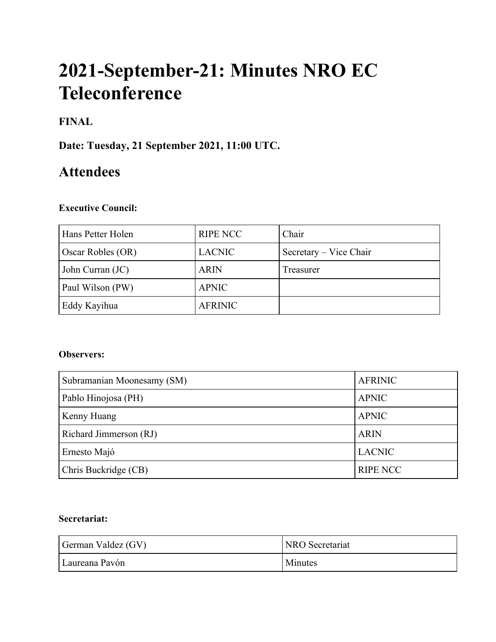# **2021-September-21: Minutes NRO EC Teleconference**

# **FINAL**

**Date: Tuesday, 21 September 2021, 11:00 UTC.**

# **Attendees**

#### **Executive Council:**

| Hans Petter Holen | <b>RIPE NCC</b> | Chair                  |
|-------------------|-----------------|------------------------|
| Oscar Robles (OR) | <b>LACNIC</b>   | Secretary – Vice Chair |
| John Curran (JC)  | <b>ARIN</b>     | Treasurer              |
| Paul Wilson (PW)  | <b>APNIC</b>    |                        |
| Eddy Kayihua      | <b>AFRINIC</b>  |                        |

#### **Observers:**

| Subramanian Moonesamy (SM) | <b>AFRINIC</b>  |
|----------------------------|-----------------|
| Pablo Hinojosa (PH)        | <b>APNIC</b>    |
| Kenny Huang                | <b>APNIC</b>    |
| Richard Jimmerson (RJ)     | <b>ARIN</b>     |
| Ernesto Majó               | <b>LACNIC</b>   |
| Chris Buckridge (CB)       | <b>RIPE NCC</b> |

### **Secretariat:**

| German Valdez (GV) | <b>NRO</b> Secretariat |
|--------------------|------------------------|
| Laureana Pavón     | <b>Minutes</b>         |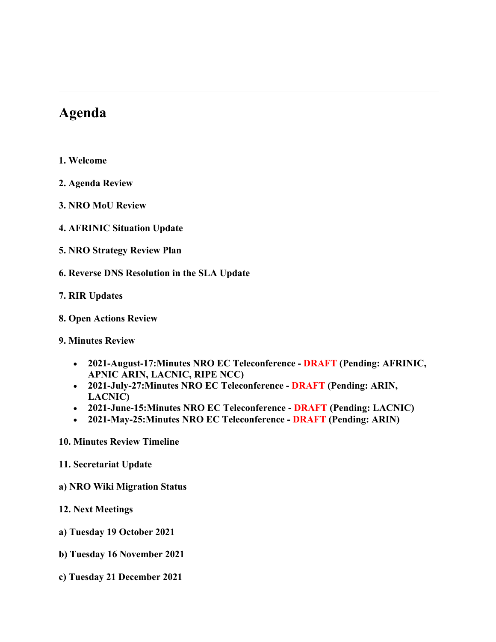# **Agenda**

- **1. Welcome**
- **2. Agenda Review**
- **3. NRO MoU Review**
- **4. AFRINIC Situation Update**
- **5. NRO Strategy Review Plan**
- **6. Reverse DNS Resolution in the SLA Update**
- **7. RIR Updates**
- **8. Open Actions Review**

#### **9. Minutes Review**

- **2021-August-17:Minutes NRO EC Teleconference - DRAFT (Pending: AFRINIC, APNIC ARIN, LACNIC, RIPE NCC)**
- **2021-July-27:Minutes NRO EC Teleconference - DRAFT (Pending: ARIN, LACNIC)**
- **2021-June-15:Minutes NRO EC Teleconference - DRAFT (Pending: LACNIC)**
- **2021-May-25:Minutes NRO EC Teleconference - DRAFT (Pending: ARIN)**

#### **10. Minutes Review Timeline**

- **11. Secretariat Update**
- **a) NRO Wiki Migration Status**
- **12. Next Meetings**
- **a) Tuesday 19 October 2021**
- **b) Tuesday 16 November 2021**
- **c) Tuesday 21 December 2021**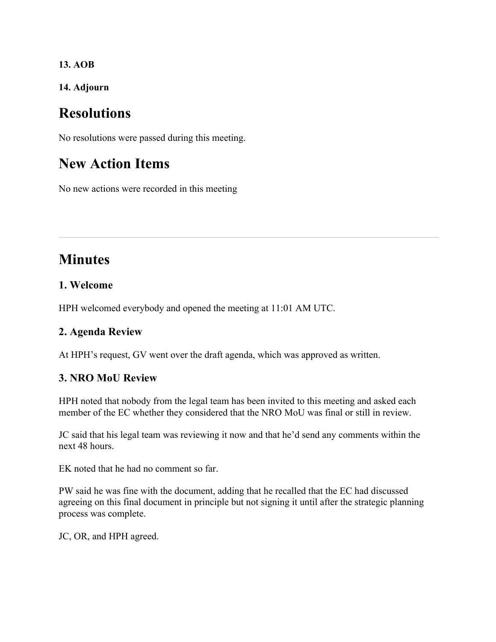**13. AOB**

**14. Adjourn**

# **Resolutions**

No resolutions were passed during this meeting.

# **New Action Items**

No new actions were recorded in this meeting

# **Minutes**

# **1. Welcome**

HPH welcomed everybody and opened the meeting at 11:01 AM UTC.

#### **2. Agenda Review**

At HPH's request, GV went over the draft agenda, which was approved as written.

# **3. NRO MoU Review**

HPH noted that nobody from the legal team has been invited to this meeting and asked each member of the EC whether they considered that the NRO MoU was final or still in review.

JC said that his legal team was reviewing it now and that he'd send any comments within the next 48 hours.

EK noted that he had no comment so far.

PW said he was fine with the document, adding that he recalled that the EC had discussed agreeing on this final document in principle but not signing it until after the strategic planning process was complete.

JC, OR, and HPH agreed.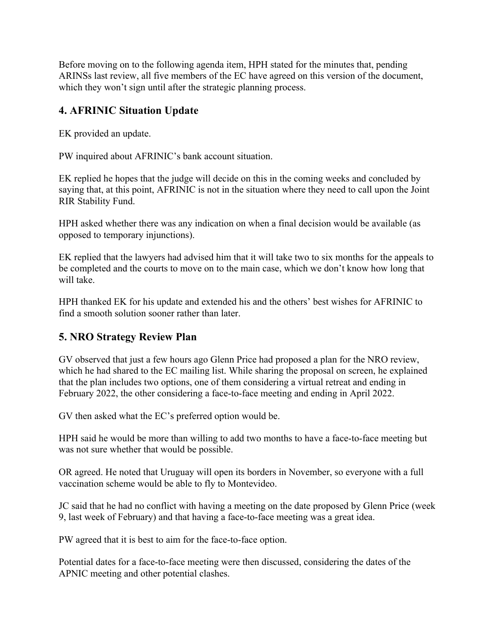Before moving on to the following agenda item, HPH stated for the minutes that, pending ARINSs last review, all five members of the EC have agreed on this version of the document, which they won't sign until after the strategic planning process.

# **4. AFRINIC Situation Update**

EK provided an update.

PW inquired about AFRINIC's bank account situation.

EK replied he hopes that the judge will decide on this in the coming weeks and concluded by saying that, at this point, AFRINIC is not in the situation where they need to call upon the Joint RIR Stability Fund.

HPH asked whether there was any indication on when a final decision would be available (as opposed to temporary injunctions).

EK replied that the lawyers had advised him that it will take two to six months for the appeals to be completed and the courts to move on to the main case, which we don't know how long that will take.

HPH thanked EK for his update and extended his and the others' best wishes for AFRINIC to find a smooth solution sooner rather than later.

# **5. NRO Strategy Review Plan**

GV observed that just a few hours ago Glenn Price had proposed a plan for the NRO review, which he had shared to the EC mailing list. While sharing the proposal on screen, he explained that the plan includes two options, one of them considering a virtual retreat and ending in February 2022, the other considering a face-to-face meeting and ending in April 2022.

GV then asked what the EC's preferred option would be.

HPH said he would be more than willing to add two months to have a face-to-face meeting but was not sure whether that would be possible.

OR agreed. He noted that Uruguay will open its borders in November, so everyone with a full vaccination scheme would be able to fly to Montevideo.

JC said that he had no conflict with having a meeting on the date proposed by Glenn Price (week 9, last week of February) and that having a face-to-face meeting was a great idea.

PW agreed that it is best to aim for the face-to-face option.

Potential dates for a face-to-face meeting were then discussed, considering the dates of the APNIC meeting and other potential clashes.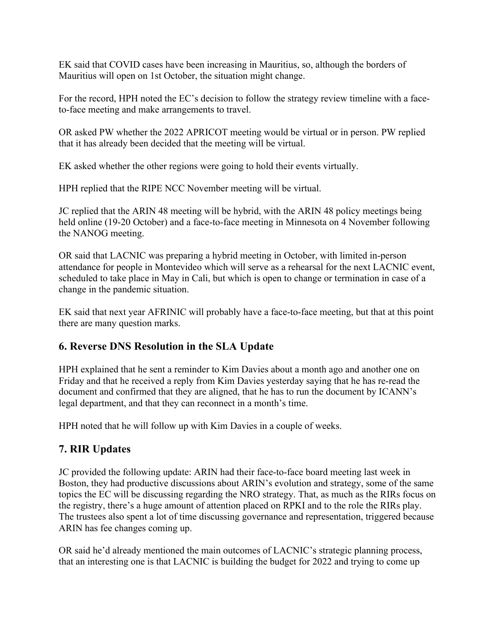EK said that COVID cases have been increasing in Mauritius, so, although the borders of Mauritius will open on 1st October, the situation might change.

For the record, HPH noted the EC's decision to follow the strategy review timeline with a faceto-face meeting and make arrangements to travel.

OR asked PW whether the 2022 APRICOT meeting would be virtual or in person. PW replied that it has already been decided that the meeting will be virtual.

EK asked whether the other regions were going to hold their events virtually.

HPH replied that the RIPE NCC November meeting will be virtual.

JC replied that the ARIN 48 meeting will be hybrid, with the ARIN 48 policy meetings being held online (19-20 October) and a face-to-face meeting in Minnesota on 4 November following the NANOG meeting.

OR said that LACNIC was preparing a hybrid meeting in October, with limited in-person attendance for people in Montevideo which will serve as a rehearsal for the next LACNIC event, scheduled to take place in May in Cali, but which is open to change or termination in case of a change in the pandemic situation.

EK said that next year AFRINIC will probably have a face-to-face meeting, but that at this point there are many question marks.

# **6. Reverse DNS Resolution in the SLA Update**

HPH explained that he sent a reminder to Kim Davies about a month ago and another one on Friday and that he received a reply from Kim Davies yesterday saying that he has re-read the document and confirmed that they are aligned, that he has to run the document by ICANN's legal department, and that they can reconnect in a month's time.

HPH noted that he will follow up with Kim Davies in a couple of weeks.

# **7. RIR Updates**

JC provided the following update: ARIN had their face-to-face board meeting last week in Boston, they had productive discussions about ARIN's evolution and strategy, some of the same topics the EC will be discussing regarding the NRO strategy. That, as much as the RIRs focus on the registry, there's a huge amount of attention placed on RPKI and to the role the RIRs play. The trustees also spent a lot of time discussing governance and representation, triggered because ARIN has fee changes coming up.

OR said he'd already mentioned the main outcomes of LACNIC's strategic planning process, that an interesting one is that LACNIC is building the budget for 2022 and trying to come up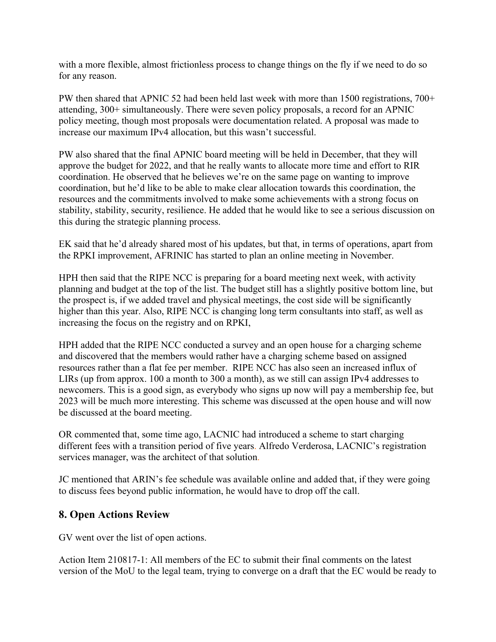with a more flexible, almost frictionless process to change things on the fly if we need to do so for any reason.

PW then shared that APNIC 52 had been held last week with more than 1500 registrations, 700+ attending, 300+ simultaneously. There were seven policy proposals, a record for an APNIC policy meeting, though most proposals were documentation related. A proposal was made to increase our maximum IPv4 allocation, but this wasn't successful.

PW also shared that the final APNIC board meeting will be held in December, that they will approve the budget for 2022, and that he really wants to allocate more time and effort to RIR coordination. He observed that he believes we're on the same page on wanting to improve coordination, but he'd like to be able to make clear allocation towards this coordination, the resources and the commitments involved to make some achievements with a strong focus on stability, stability, security, resilience. He added that he would like to see a serious discussion on this during the strategic planning process.

EK said that he'd already shared most of his updates, but that, in terms of operations, apart from the RPKI improvement, AFRINIC has started to plan an online meeting in November.

HPH then said that the RIPE NCC is preparing for a board meeting next week, with activity planning and budget at the top of the list. The budget still has a slightly positive bottom line, but the prospect is, if we added travel and physical meetings, the cost side will be significantly higher than this year. Also, RIPE NCC is changing long term consultants into staff, as well as increasing the focus on the registry and on RPKI,

HPH added that the RIPE NCC conducted a survey and an open house for a charging scheme and discovered that the members would rather have a charging scheme based on assigned resources rather than a flat fee per member. RIPE NCC has also seen an increased influx of LIRs (up from approx. 100 a month to 300 a month), as we still can assign IPv4 addresses to newcomers. This is a good sign, as everybody who signs up now will pay a membership fee, but 2023 will be much more interesting. This scheme was discussed at the open house and will now be discussed at the board meeting.

OR commented that, some time ago, LACNIC had introduced a scheme to start charging different fees with a transition period of five years. Alfredo Verderosa, LACNIC's registration services manager, was the architect of that solution.

JC mentioned that ARIN's fee schedule was available online and added that, if they were going to discuss fees beyond public information, he would have to drop off the call.

#### **8. Open Actions Review**

GV went over the list of open actions.

Action Item 210817-1: All members of the EC to submit their final comments on the latest version of the MoU to the legal team, trying to converge on a draft that the EC would be ready to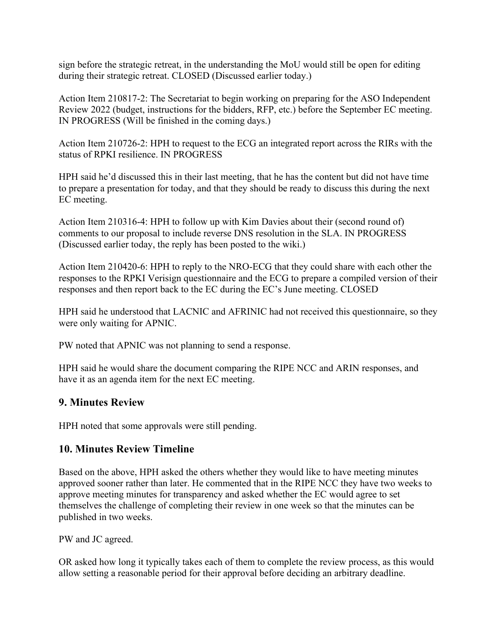sign before the strategic retreat, in the understanding the MoU would still be open for editing during their strategic retreat. CLOSED (Discussed earlier today.)

Action Item 210817-2: The Secretariat to begin working on preparing for the ASO Independent Review 2022 (budget, instructions for the bidders, RFP, etc.) before the September EC meeting. IN PROGRESS (Will be finished in the coming days.)

Action Item 210726-2: HPH to request to the ECG an integrated report across the RIRs with the status of RPKI resilience. IN PROGRESS

HPH said he'd discussed this in their last meeting, that he has the content but did not have time to prepare a presentation for today, and that they should be ready to discuss this during the next EC meeting.

Action Item 210316-4: HPH to follow up with Kim Davies about their (second round of) comments to our proposal to include reverse DNS resolution in the SLA. IN PROGRESS (Discussed earlier today, the reply has been posted to the wiki.)

Action Item 210420-6: HPH to reply to the NRO-ECG that they could share with each other the responses to the RPKI Verisign questionnaire and the ECG to prepare a compiled version of their responses and then report back to the EC during the EC's June meeting. CLOSED

HPH said he understood that LACNIC and AFRINIC had not received this questionnaire, so they were only waiting for APNIC.

PW noted that APNIC was not planning to send a response.

HPH said he would share the document comparing the RIPE NCC and ARIN responses, and have it as an agenda item for the next EC meeting.

# **9. Minutes Review**

HPH noted that some approvals were still pending.

# **10. Minutes Review Timeline**

Based on the above, HPH asked the others whether they would like to have meeting minutes approved sooner rather than later. He commented that in the RIPE NCC they have two weeks to approve meeting minutes for transparency and asked whether the EC would agree to set themselves the challenge of completing their review in one week so that the minutes can be published in two weeks.

PW and JC agreed.

OR asked how long it typically takes each of them to complete the review process, as this would allow setting a reasonable period for their approval before deciding an arbitrary deadline.